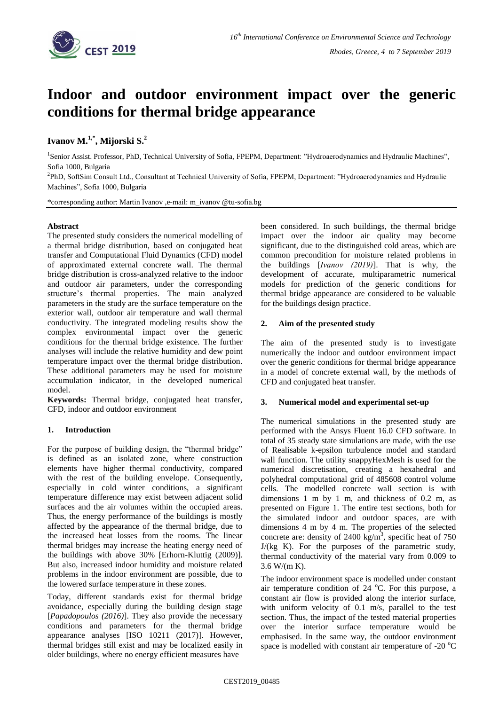

# **Indoor and outdoor environment impact over the generic conditions for thermal bridge appearance**

## **Ivanov M.1,\* , Mijorski S.<sup>2</sup>**

1 Senior Assist. Professor, PhD, Technical University of Sofia, FPEPM, Department: "Hydroaerodynamics and Hydraulic Machines", Sofia 1000, Bulgaria

2 PhD, SoftSim Consult Ltd., Consultant at Technical University of Sofia, FPEPM, Department: "Hydroaerodynamics and Hydraulic Machines", Sofia 1000, Bulgaria

\*corresponding author: Martin Ivanov ,e-mail: m\_ivanov @tu-sofia.bg

#### **Abstract**

The presented study considers the numerical modelling of a thermal bridge distribution, based on conjugated heat transfer and Computational Fluid Dynamics (CFD) model of approximated external concrete wall. The thermal bridge distribution is cross-analyzed relative to the indoor and outdoor air parameters, under the corresponding structure's thermal properties. The main analyzed parameters in the study are the surface temperature on the exterior wall, outdoor air temperature and wall thermal conductivity. The integrated modeling results show the complex environmental impact over the generic conditions for the thermal bridge existence. The further analyses will include the relative humidity and dew point temperature impact over the thermal bridge distribution. These additional parameters may be used for moisture accumulation indicator, in the developed numerical model.

**Keywords:** Thermal bridge, conjugated heat transfer, CFD, indoor and outdoor environment

#### **1. Introduction**

For the purpose of building design, the "thermal bridge" is defined as an isolated zone, where construction elements have higher thermal conductivity, compared with the rest of the building envelope. Consequently, especially in cold winter conditions, a significant temperature difference may exist between adjacent solid surfaces and the air volumes within the occupied areas. Thus, the energy performance of the buildings is mostly affected by the appearance of the thermal bridge, due to the increased heat losses from the rooms. The linear thermal bridges may increase the heating energy need of the buildings with above 30% [Erhorn-Kluttig (2009)]. But also, increased indoor humidity and moisture related problems in the indoor environment are possible, due to the lowered surface temperature in these zones.

Today, different standards exist for thermal bridge avoidance, especially during the building design stage [*Papadopoulos (2016)*]. They also provide the necessary conditions and parameters for the thermal bridge appearance analyses [ISO 10211 (2017)]. However, thermal bridges still exist and may be localized easily in older buildings, where no energy efficient measures have

been considered. In such buildings, the thermal bridge impact over the indoor air quality may become significant, due to the distinguished cold areas, which are common precondition for moisture related problems in the buildings [*Ivanov (2019)*]. That is why, the development of accurate, multiparametric numerical models for prediction of the generic conditions for thermal bridge appearance are considered to be valuable for the buildings design practice.

### **2. Aim of the presented study**

The aim of the presented study is to investigate numerically the indoor and outdoor environment impact over the generic conditions for thermal bridge appearance in a model of concrete external wall, by the methods of CFD and conjugated heat transfer.

#### **3. Numerical model and experimental set-up**

The numerical simulations in the presented study are performed with the Ansys Fluent 16.0 CFD software. In total of 35 steady state simulations are made, with the use of Realisable k-epsilon turbulence model and standard wall function. The utility snappyHexMesh is used for the numerical discretisation, creating a hexahedral and polyhedral computational grid of 485608 control volume cells. The modelled concrete wall section is with dimensions 1 m by 1 m, and thickness of 0.2 m, as presented on Figure 1. The entire test sections, both for the simulated indoor and outdoor spaces, are with dimensions 4 m by 4 m. The properties of the selected concrete are: density of 2400 kg/m<sup>3</sup>, specific heat of 750 J/(kg K). For the purposes of the parametric study, thermal conductivity of the material vary from 0.009 to 3.6 W/(m K).

The indoor environment space is modelled under constant air temperature condition of  $24^{\circ}$ C. For this purpose, a constant air flow is provided along the interior surface, with uniform velocity of 0.1 m/s, parallel to the test section. Thus, the impact of the tested material properties over the interior surface temperature would be emphasised. In the same way, the outdoor environment space is modelled with constant air temperature of  $-20\degree C$